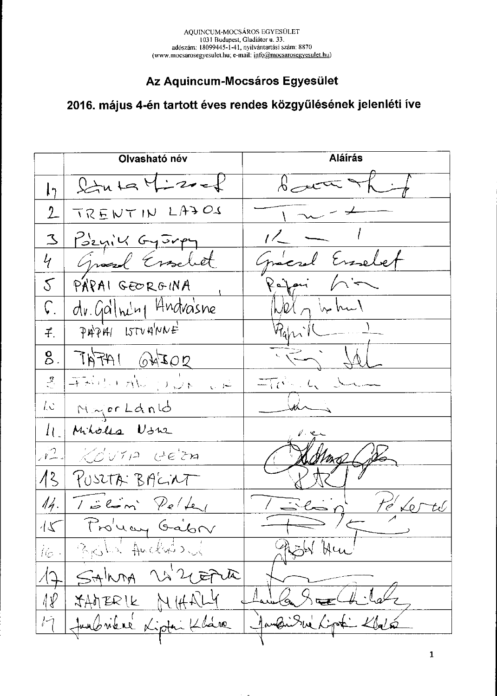#### Az Aquincum-Mocsáros Egyesület

# 2016. május 4-én tartott éves rendes közgyűlésének jelenléti íve

|                              | Olvasható név          | Aláírás                                             |
|------------------------------|------------------------|-----------------------------------------------------|
|                              | $2444 \times 4222$     | $\beta$ act of $\alpha$                             |
| 2                            | TRENTIN LAJOS          |                                                     |
| $\mathfrak{D}$               | Pozyik Gyorpy          | $1/2$ $ 1/2$                                        |
| 4 <sub>1</sub>               | Grand Erselet          | Graced Esselet                                      |
|                              | 5 PÁPAI GEORGINA       | $Re\$ pri $\bigwedge^{\cdot\cdot}-$                 |
|                              | dv.Gallning Andrasne   | $\omega$ llelle of the true $\sqrt{ }$              |
| $f$ .                        | $\varphi$ APM ISTVAWE  | $\mathcal{P}_{\text{apr}}(L_{\text{max}})$          |
| 8.                           | $70440$ $04702$        | $\frac{1}{2}$ the set                               |
| $\mathcal{L}_{\mathcal{A}}$  | AU AU QUE LA           | $\pi_{\mathcal{C}}$ , $\iota_{\mathcal{C}}$ decomes |
|                              | 10 Major Land          |                                                     |
| $l_{\perp}$                  | Miholes Ushe           |                                                     |
|                              | $ P $ KOVTA GEZA       |                                                     |
|                              | 13 PUSCTA BAGILT       |                                                     |
|                              | $14.732 m$ Peller      | Pe <sup>V</sup> Le                                  |
| $\sqrt[4]{\zeta}$            | Provey Gabr            |                                                     |
| $\hat{t}\hat{\varepsilon}$ . | Broken Anchion         | ish Hu                                              |
|                              | SALMA W2 CEPUR         |                                                     |
| 1 P                          | JAMERIK<br>NHALY       |                                                     |
| $\mathcal{L}$                | Junbriere Kiptin Klave | Jandi Sur Lipt Klato                                |
|                              |                        |                                                     |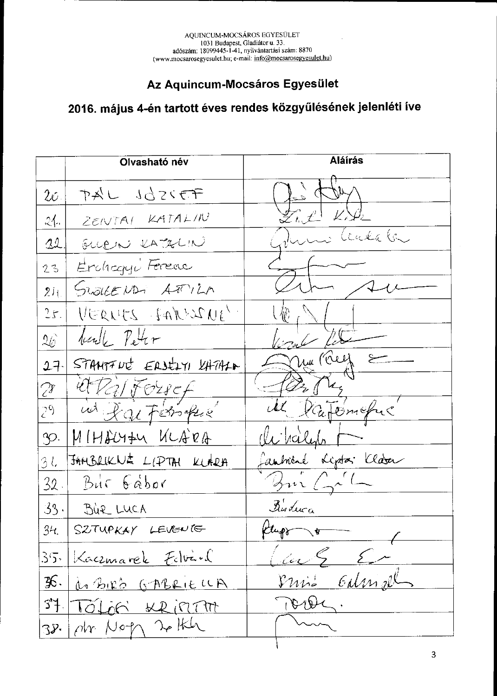### Az Aquincum-Mocsáros Egyesület

# 2016. május 4-én tartott éves rendes közgyűlésének jelenléti íve

|                 | Olvasható név           | <b>Aláírás</b>                              |
|-----------------|-------------------------|---------------------------------------------|
| $2\sigma_-$     | PAL 1025FF              |                                             |
| 24.             | ZENTAI KATALIN          | $\mathscr{L}_L \ell^+$                      |
| 22              | GLLEIN KATALIN          | Linka (n.                                   |
| 23              | Erchagy Ferenc          |                                             |
| 2i <sub>1</sub> | SWOLLEND, ATTILA        |                                             |
| 25.             | VERVES FARESNE          |                                             |
| $26^{\circ}$    | beath Peter             |                                             |
| $27 -$          | STAMPTUC EASELYI LATALA | nu (Clef                                    |
| Zr .            | <u>il Ralforsef</u>     | $\mathscr{L}_\mathscr{A}$<br>$\mathcal{U},$ |
| (26)            | in Raifersophe          | Ratemeful                                   |
| P.              | MIHACYZU ULARA          |                                             |
| 3 l.            | JAHBRUKNE LIPTAI KLARA  | aubiene Lipta Clara                         |
|                 | $32$ Bur $6abc$         | $\mathbb{Z}^{n}$ ( $\mathbb{Z}^{n}$ (       |
|                 | $33 - 302$ LUCA         | Buduca                                      |
| 34.             | SZTUPKAY LEVENTE        | Ktup +                                      |
|                 | 35. Kaczmarek Edvard    | au 5 Er                                     |
| 36.             | do BIRB GABRIELLA       | Galmnel<br>$\mathcal{V}u\mathcal{V}$        |
| 37              | TOLOG KRIPTA            | $\mathfrak{b}_\mathfrak{b}$                 |
|                 | $38.1$ ptr Noth 20 the  |                                             |